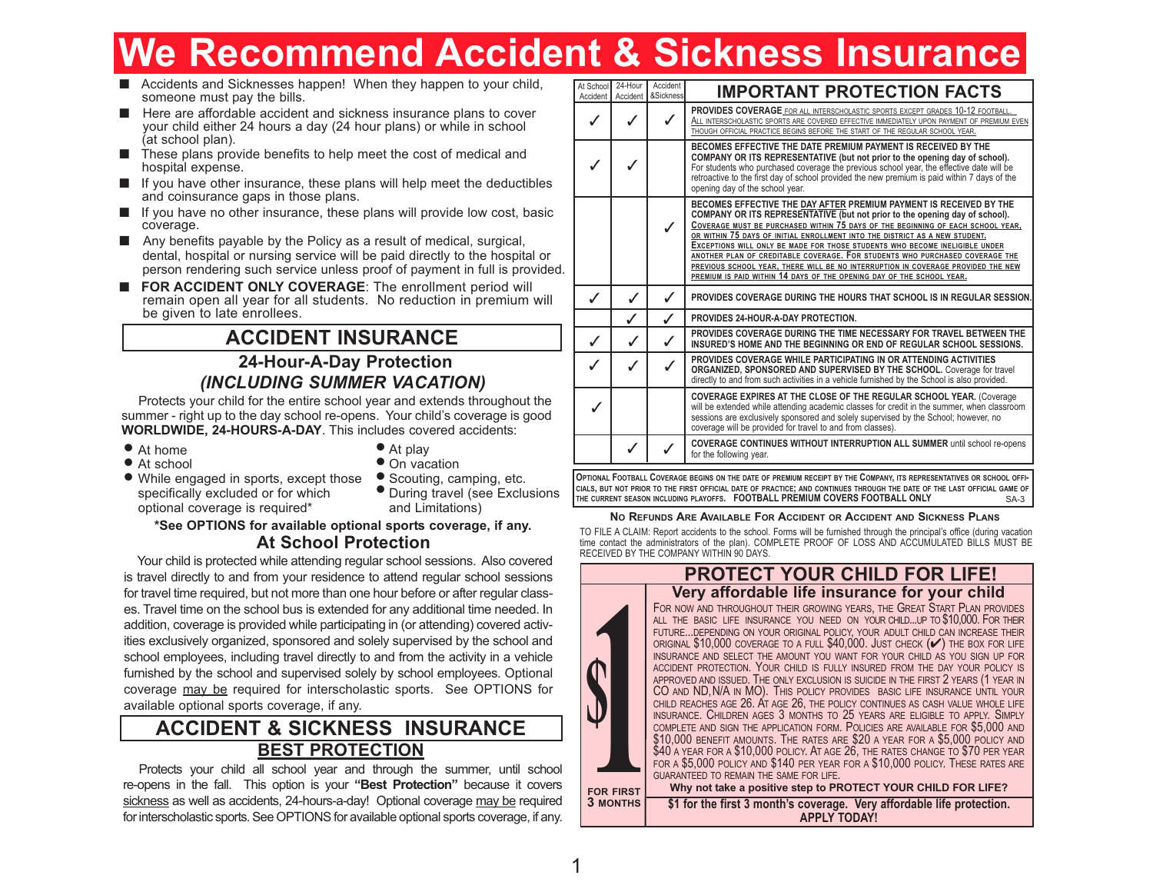# **We Recommend Accident & Sickness Insurance**

- Accidents and Sicknesses happen! When they happen to your child, someone must pay the bills.
- Here are affordable accident and sickness insurance plans to cover your child either 24 hours a day (24 hour plans) or while in school (at school plan).
- These plans provide benefits to help meet the cost of medical and hospital expense.
- If you have other insurance, these plans will help meet the deductibles and coinsurance gaps in those plans.
- If you have no other insurance, these plans will provide low cost, basic coverage.
- Any benefits payable by the Policy as a result of medical, surgical, dental, hospital or nursing service will be paid directly to the hospital or person rendering such service unless proof of payment in full is provided.
- **FOR ACCIDENT ONLY COVERAGE:** The enrollment period will remain open all year for all students. No reduction in premium will be given to late enrollees.

## **ACCIDENT INSURANCE**

## **24-Hour-A-Day Protection** *(INCLUDING SUMMER VACATION)*

Protects your child for the entire school year and extends throughout the summer - right up to the day school re-opens. Your child's coverage is good **WORLDWIDE, 24-HOURS-A-DAY**. This includes covered accidents:

- At home
- At school
- At play
- On vacation
- While engaged in sports, except those •specifically excluded or for which optional coverage is required\*
- Scouting, camping, etc. During travel (see Exclusions • and Limitations)

## **At School Protection \*See OPTIONS for available optional sports coverage, if any.**

Your child is protected while attending regular school sessions. Also covered is travel directly to and from your residence to attend regular school sessions for travel time required, but not more than one hour before or after regular classes. Travel time on the school bus is extended for any additional time needed. In addition, coverage is provided while participating in (or attending) covered activities exclusively organized, sponsored and solely supervised by the school and school employees, including travel directly to and from the activity in a vehicle furnished by the school and supervised solely by school employees. Optional coverage may be required for interscholastic sports. See OPTIONS for available optional sports coverage, if any.

## **BEST PROTECTION ACCIDENT & SICKNESS INSURANCE**

Protects your child all school year and through the summer, until school re-opens in the fall. This option is your **"Best Protection"** because it covers sickness as well as accidents, 24-hours-a-day! Optional coverage may be required for interscholastic sports. See OPTIONS for available optional sports coverage, if any.

| At School<br>Accident | 24-Hour<br>Accident | Accident<br><b>&amp;Sickness</b> | <b>IMPORTANT PROTECTION FACTS</b>                                                                                                                                                                                                                                                                                                                                                                                                                                                                                                                                                                                                               |
|-----------------------|---------------------|----------------------------------|-------------------------------------------------------------------------------------------------------------------------------------------------------------------------------------------------------------------------------------------------------------------------------------------------------------------------------------------------------------------------------------------------------------------------------------------------------------------------------------------------------------------------------------------------------------------------------------------------------------------------------------------------|
|                       |                     |                                  | <b>PROVIDES COVERAGE</b> FOR ALL INTERSCHOLASTIC SPORTS EXCEPT GRADES 10-12 FOOTBALL.<br>ALL INTERSCHOLASTIC SPORTS ARE COVERED EFFECTIVE IMMEDIATELY UPON PAYMENT OF PREMIUM EVEN<br>THOUGH OFFICIAL PRACTICE BEGINS BEFORE THE START OF THE REGULAR SCHOOL YEAR.                                                                                                                                                                                                                                                                                                                                                                              |
|                       |                     |                                  | BECOMES EFFECTIVE THE DATE PREMIUM PAYMENT IS RECEIVED BY THE<br>COMPANY OR ITS REPRESENTATIVE (but not prior to the opening day of school).<br>For students who purchased coverage the previous school year, the effective date will be<br>retroactive to the first day of school provided the new premium is paid within 7 days of the<br>opening day of the school year.                                                                                                                                                                                                                                                                     |
|                       |                     | $\checkmark$                     | BECOMES EFFECTIVE THE DAY AFTER PREMIUM PAYMENT IS RECEIVED BY THE<br>COMPANY OR ITS REPRESENTATIVE (but not prior to the opening day of school).<br>COVERAGE MUST BE PURCHASED WITHIN 75 DAYS OF THE BEGINNING OF EACH SCHOOL YEAR,<br>OR WITHIN 75 DAYS OF INITIAL ENROLLMENT INTO THE DISTRICT AS A NEW STUDENT.<br>EXCEPTIONS WILL ONLY BE MADE FOR THOSE STUDENTS WHO BECOME INELIGIBLE UNDER<br>ANOTHER PLAN OF CREDITABLE COVERAGE. FOR STUDENTS WHO PURCHASED COVERAGE THE<br>PREVIOUS SCHOOL YEAR, THERE WILL BE NO INTERRUPTION IN COVERAGE PROVIDED THE NEW<br>PREMIUM IS PAID WITHIN 14 DAYS OF THE OPENING DAY OF THE SCHOOL YEAR. |
|                       |                     |                                  | <b>PROVIDES COVERAGE DURING THE HOURS THAT SCHOOL IS IN REGULAR SESSION.</b>                                                                                                                                                                                                                                                                                                                                                                                                                                                                                                                                                                    |
|                       |                     |                                  | PROVIDES 24-HOUR-A-DAY PROTECTION.                                                                                                                                                                                                                                                                                                                                                                                                                                                                                                                                                                                                              |
| $\checkmark$          |                     |                                  | PROVIDES COVERAGE DURING THE TIME NECESSARY FOR TRAVEL BETWEEN THE<br>INSURED'S HOME AND THE BEGINNING OR END OF REGULAR SCHOOL SESSIONS.                                                                                                                                                                                                                                                                                                                                                                                                                                                                                                       |
|                       |                     |                                  | <b>PROVIDES COVERAGE WHILE PARTICIPATING IN OR ATTENDING ACTIVITIES</b><br>ORGANIZED, SPONSORED AND SUPERVISED BY THE SCHOOL. Coverage for travel<br>directly to and from such activities in a vehicle furnished by the School is also provided.                                                                                                                                                                                                                                                                                                                                                                                                |
|                       |                     |                                  | COVERAGE EXPIRES AT THE CLOSE OF THE REGULAR SCHOOL YEAR. (Coverage<br>will be extended while attending academic classes for credit in the summer, when classroom<br>sessions are exclusively sponsored and solely supervised by the School; however, no<br>coverage will be provided for travel to and from classes).                                                                                                                                                                                                                                                                                                                          |
|                       |                     |                                  | <b>COVERAGE CONTINUES WITHOUT INTERRUPTION ALL SUMMER until school re-opens</b><br>for the following year.                                                                                                                                                                                                                                                                                                                                                                                                                                                                                                                                      |

SA-3 OPTIONAL FOOTBALL COVERAGE BEGINS ON THE DATE OF PREMIUM RECEIPT BY THE COMPANY, ITS REPRESENTATIVES OR SCHOOL OFFI-CIALS. BUT NOT PRIOR TO THE FIRST OFFICIAL DATE OF PRACTICE; AND CONTINUES THROUGH THE DATE OF THE LAST OFFICIAL GAME OF **THE CURRENT SEASON INCLUDING PLAYOFFS. FOOTBALL PREMIUM COVERS FOOTBALL ONLY**

#### **NO REFUNDS ARE AVAILABLE FOR ACCIDENT OR ACCIDENT AND SICKNESS PLANS**

TO FILE A CLAIM: Report accidents to the school. Forms will be furnished through the principal's office (during vacation time contact the administrators of the plan). COMPLETE PROOF OF LOSS AND ACCUMULATED BILLS MUST BE RECEIVED BY THE COMPANY WITHIN 90 DAYS.

## **Very affordable life insurance for your child PROTECT YOUR CHILD FOR LIFE!**

FOR NOW AND THROUGHOUT THEIR GROWING YEARS, THE GREAT START PLAN PROVIDES ALL THE BASIC LIFE INSURANCE YOU NEED ON YOUR CHILD...UP TO \$10,000. FOR THEIR FUTURE...DEPENDING ON YOUR ORIGINAL POLICY, YOUR ADULT CHILD CAN INCREASE THEIR ORIGINAL  $$10,000$  COVERAGE TO A FULL  $$40,000$ . JUST CHECK  $(\blacktriangleright)$  THE BOX FOR LIFE INSURANCE AND SELECT THE AMOUNT YOU WANT FOR YOUR CHILD AS YOU SIGN UP FOR ACCIDENT PROTECTION. YOUR CHILD IS FULLY INSURED FROM THE DAY YOUR POLICY IS APPROVED AND ISSUED. THE ONLY EXCLUSION IS SUICIDE IN THE FIRST 2 YEARS (1 YEAR IN<br>CO AND ND,N/A IN MO). THIS POLICY PROVIDES BASIC LIFE INSURANCE UNTIL YOUR CHILD REACHES AGE 26. AT AGE 26, THE POLICY CONTINUES AS CASH VALUE WHOLE LIFE INSURANCE. CHILDREN AGES 3 MONTHS TO 25 YEARS ARE ELIGIBLE TO APPLY. SIMPLY<br>COMPLETE AND SIGN THE APPLICATION FORM. POLICIES ARE AVAILABLE FOR \$5,000 AND \$10,000 benefit amounts. The rates are \$20 a year for a \$5,000 policy and<br>\$40 a year for a \$10,000 policy. At age 26, the rates change to \$70 per year FOR <sup>A</sup> \$5,000 POLICY AND \$140 PER YEAR FOR <sup>A</sup> \$10,000 POLICY. THESE RATES ARE GUARANTEED TO REMAIN THE SAME FOR LIFE. **Why not take a positive step to PROTECT YOUR CHILD FOR LIFE?**

**\$1 for the first 3 month's coverage. Very affordable life protection. APPLY TODAY! FOR FIRST 3 MONTHS**

**1**

**\$**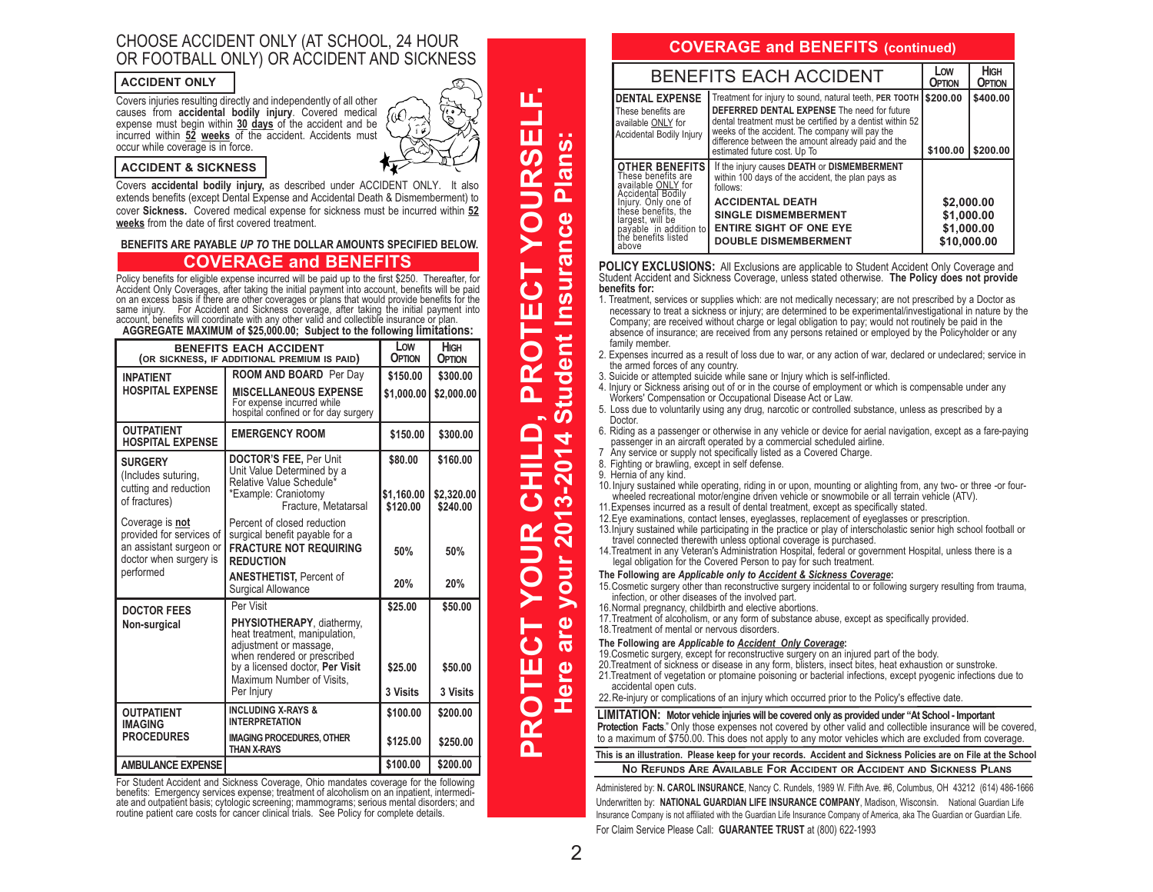## CHOOSE ACCIDENT ONLY (AT SCHOOL, 24 HOUR OR FOOTBALL ONLY) OR ACCIDENT AND SICKNESS

#### **ACCIDENT ONLY**

Covers injuries resulting directly and independently of all other causes from **accidental bodily injury**. Covered medical expense must begin within **30 days** of the accident and be incurred within **52 weeks** of the accident. Accidents must occur while coverage is in force.

#### **ACCIDENT & SICKNESS**

Covers **accidental bodily injury,** as described under ACCIDENT ONLY. It also extends benefits (except Dental Expense and Accidental Death & Dismemberment) to cover **Sickness.** Covered medical expense for sickness must be incurred within **52 weeks** from the date of first covered treatment.

**BENEFITS ARE PAYABLE** *UP TO* **THE DOLLAR AMOUNTS SPECIFIED BELOW.**

## **COVERAGE and BENEFITS**

Policy benefits for eligible expense incurred will be paid up to the first \$250. Thereafter, for Accident Only Coverages, after taking the initial payment into account, benefits will be paid on an excess basis if there are

| <b>BENEFITS EACH ACCIDENT</b><br>(OR SICKNESS, IF ADDITIONAL PREMIUM IS PAID)                                 | Low<br>OPTION                                                                                                                                                                                                         | <b>HIGH</b><br><b>OPTION</b>          |                                    |
|---------------------------------------------------------------------------------------------------------------|-----------------------------------------------------------------------------------------------------------------------------------------------------------------------------------------------------------------------|---------------------------------------|------------------------------------|
| <b>INPATIENT</b><br><b>HOSPITAL EXPENSE</b>                                                                   | <b>ROOM AND BOARD</b> Per Dav<br><b>MISCELLANEOUS EXPENSE</b><br>For expense incurred while<br>hospital confined or for day surgery                                                                                   | \$150.00<br>\$1.000.00                | \$300.00<br>\$2,000.00             |
| <b>OUTPATIENT</b><br><b>HOSPITAL EXPENSE</b>                                                                  | <b>EMERGENCY ROOM</b>                                                                                                                                                                                                 | \$150.00                              | \$300.00                           |
| <b>SURGERY</b><br>(Includes suturing,<br>cutting and reduction<br>of fractures)                               | <b>DOCTOR'S FEE, Per Unit</b><br>Unit Value Determined by a<br>Relative Value Schedule <sup>*</sup><br>*Example: Craniotomy<br>Fracture, Metatarsal                                                                   | \$80.00<br>\$1,160.00<br>\$120.00     | \$160.00<br>\$2,320.00<br>\$240.00 |
| Coverage is not<br>provided for services of<br>an assistant surgeon or<br>doctor when surgery is<br>performed | Percent of closed reduction<br>surgical benefit payable for a<br><b>FRACTURE NOT REQUIRING</b><br><b>REDUCTION</b><br><b>ANESTHETIST, Percent of</b><br><b>Surgical Allowance</b>                                     | 50%<br>20%                            | 50%<br>20%                         |
| <b>DOCTOR FEES</b><br>Non-surgical                                                                            | Per Visit<br>PHYSIOTHERAPY, diathermy,<br>heat treatment, manipulation,<br>adjustment or massage,<br>when rendered or prescribed<br>by a licensed doctor, <b>Per Visit</b><br>Maximum Number of Visits,<br>Per Injury | \$25.00<br>\$25.00<br><b>3 Visits</b> | \$50.00<br>\$50.00<br>3 Visits     |
| <b>OUTPATIENT</b><br><b>IMAGING</b><br><b>PROCEDURES</b>                                                      | <b>INCLUDING X-RAYS &amp;</b><br><b>INTERPRETATION</b><br><b>IMAGING PROCEDURES, OTHER</b><br><b>THAN X-RAYS</b>                                                                                                      | \$100.00<br>\$125.00                  | \$200.00<br>\$250.00               |
| <b>AMBULANCE EXPENSE</b>                                                                                      |                                                                                                                                                                                                                       | \$100.00                              | \$200.00                           |

For Student Accident and Sickness Coverage, Ohio mandates coverage for the following benefits: Emergency services expense; treatment of alcoholism on an inpatient, intermediate and outpatient basis; cytologic screening; ma routine patient care costs for cancer clinical trials. See Policy for complete details.

**PROTECT YOURSELF. PROTECT YOUR CHILD, PROTECT YOURSELF.** a s **Here are your 2013-2014 Student Insurance Plans:** Plans: nce tudent Insura **CO**  $\blacksquare$ CHILD  $\blacktriangleleft$  $\overline{\phantom{0}}$  $3 - 20$ YOUR  $\bullet$  $\overline{\mathbf{N}}$  $\overline{5}$ **PROTECT** ဇ္  $\boldsymbol{\varpi}$ ere

## **COVERAGE and BENEFITS (continued)**

| <b>BENEFITS EACH ACCIDENT</b>                                                                                                                            | Low<br>OPTION                                                                                                                                                                                                                                                                                                               | <b>HIGH</b><br><b>OPTION</b> |                      |
|----------------------------------------------------------------------------------------------------------------------------------------------------------|-----------------------------------------------------------------------------------------------------------------------------------------------------------------------------------------------------------------------------------------------------------------------------------------------------------------------------|------------------------------|----------------------|
| <b>DENTAL EXPENSE</b><br>These benefits are<br>available ONLY for<br>Accidental Bodily Injury                                                            | Treatment for injury to sound, natural teeth, PER TOOTH 5200.00<br><b>DEFERRED DENTAL EXPENSE</b> The need for future<br>dental treatment must be certified by a dentist within 52<br>weeks of the accident. The company will pay the<br>difference between the amount already paid and the<br>estimated future cost. Up To | \$100.00                     | \$400.00<br>\$200.00 |
| <b>OTHER BENEFITS</b><br>These benefits are<br>available ONLY for<br>Accidental Bodily<br>Injury. Only one of<br>these benefits, the<br>largest, will be | If the injury causes DEATH or DISMEMBERMENT<br>within 100 days of the accident, the plan pays as<br>follows:<br><b>ACCIDENTAL DEATH</b><br><b>SINGLE DISMEMBERMENT</b>                                                                                                                                                      | \$2,000.00<br>\$1,000.00     |                      |
| payable in addition to<br>the benefits listed<br>above                                                                                                   | <b>ENTIRE SIGHT OF ONE EYE</b><br><b>DOUBLE DISMEMBERMENT</b>                                                                                                                                                                                                                                                               | \$1,000.00<br>\$10,000.00    |                      |

**POLICY EXCLUSIONS:** All Exclusions are applicable to Student Accident Only Coverage and Student Accident and Sickness Coverage, unless stated otherwise. **The Policy does not provide benefits for:**

- 1. Treatment, services or supplies which: are not medically necessary; are not prescribed by a Doctor as necessary to treat a sickness or injury; are determined to be experimental/investigational in nature by the Company; are received without charge or legal obligation to pay; would not routinely be paid in the absence of insurance; are received from any persons retained or employed by the Policyholder or any family member.
- 2. Expenses incurred as a result of loss due to war, or any action of war, declared or undeclared; service in the armed forces of any country.
- 3. Suicide or attempted suicide while sane or Injury which is self-inflicted.
- 4. Injury or Sickness arising out of or in the course of employment or which is compensable under any Workers' Compensation or Occupational Disease Act or Law.
- 5. Loss due to voluntarily using any drug, narcotic or controlled substance, unless as prescribed by a **Doctor**
- 6. Riding as a passenger or otherwise in any vehicle or device for aerial navigation, except as a fare-paying passenger in an aircraft operated by a commercial scheduled airline.
- 7 Any service or supply not specifically listed as a Covered Charge.
- 8. Fighting or brawling, except in self defense.
- 9. Hernia of any kind.
- 10. Injury sustained while operating, riding in or upon, mounting or alighting from, any two- or three -or fourwheeled recreational motor/engine driven vehicle or snowmobile or all terrain vehicle (ATV).
- 11.Expenses incurred as a result of dental treatment, except as specifically stated.
- 12.Eye examinations, contact lenses, eyeglasses, replacement of eyeglasses or prescription.
- 13.Injury sustained while participating in the practice or play of interscholastic senior high school football or travel connected therewith unless optional coverage is purchased.
- 14.Treatment in any Veteran's Administration Hospital, federal or government Hospital, unless there is a legal obligation for the Covered Person to pay for such treatment.

#### **The Following are** *Applicable only to Accident & Sickness Coverage***:**

- 15.Cosmetic surgery other than reconstructive surgery incidental to or following surgery resulting from trauma, infection, or other diseases of the involved part.
- 16.Normal pregnancy, childbirth and elective abortions.
- 17.Treatment of alcoholism, or any form of substance abuse, except as specifically provided.

#### 18.Treatment of mental or nervous disorders.

- **The Following are** *Applicable to Accident Only Coverage***:**
- 19.Cosmetic surgery, except for reconstructive surgery on an injured part of the body.
- 20.Treatment of sickness or disease in any form, blisters, insect bites, heat exhaustion or sunstroke.
- 21.Treatment of vegetation or ptomaine poisoning or bacterial infections, except pyogenic infections due to accidental open cuts.
- 22.Re-injury or complications of an injury which occurred prior to the Policy's effective date.

#### **LIMITATION: Motor vehicle injuries will be covered only as provided under "At School - Important**

**Protection Facts**." Only those expenses not covered by other valid and collectible insurance will be covered, to a maximum of \$750.00. This does not apply to any motor vehicles which are excluded from coverage.

**This is an illustration. Please keep for your records. Accident and Sickness Policies are on File at the School**

#### **NO REFUNDS ARE AVAILABLE FOR ACCIDENT OR ACCIDENT AND SICKNESS PLANS**

Administered by: **N. CAROL INSURANCE**, Nancy C. Rundels, 1989 W. Fifth Ave. #6, Columbus, OH 43212 (614) 486-1666 Underwritten by: **NATIONAL GUARDIAN LIFE INSURANCE COMPANY**, Madison, Wisconsin. National Guardian Life Insurance Company is not affiliated with the Guardian Life Insurance Company of America, aka The Guardian or Guardian Life. For Claim Service Please Call: **GUARANTEE TRUST** at (800) 622-1993